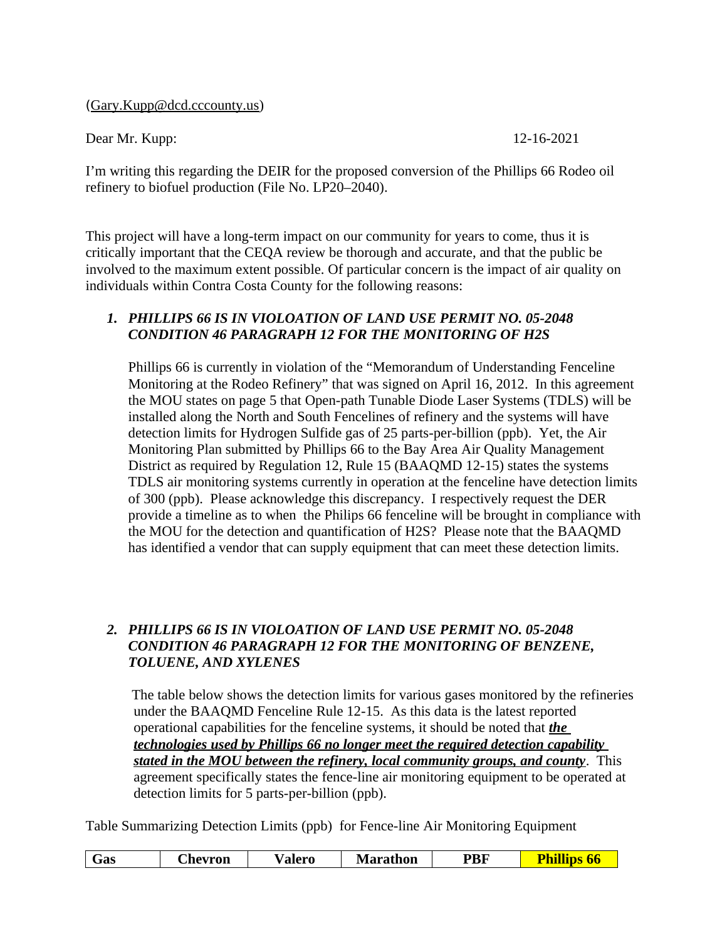([Gary.Kupp@dcd.cccounty.us](mailto:Gary.Kupp@dcd.cccounty.us))

Dear Mr. Kupp: 12-16-2021

I'm writing this regarding the DEIR for the proposed conversion of the Phillips 66 Rodeo oil refinery to biofuel production (File No. LP20–2040).

This project will have a long-term impact on our community for years to come, thus it is critically important that the CEQA review be thorough and accurate, and that the public be involved to the maximum extent possible. Of particular concern is the impact of air quality on individuals within Contra Costa County for the following reasons:

## *1. PHILLIPS 66 IS IN VIOLOATION OF LAND USE PERMIT NO. 05-2048 CONDITION 46 PARAGRAPH 12 FOR THE MONITORING OF H2S*

Phillips 66 is currently in violation of the "Memorandum of Understanding Fenceline Monitoring at the Rodeo Refinery" that was signed on April 16, 2012. In this agreement the MOU states on page 5 that Open-path Tunable Diode Laser Systems (TDLS) will be installed along the North and South Fencelines of refinery and the systems will have detection limits for Hydrogen Sulfide gas of 25 parts-per-billion (ppb). Yet, the Air Monitoring Plan submitted by Phillips 66 to the Bay Area Air Quality Management District as required by Regulation 12, Rule 15 (BAAQMD 12-15) states the systems TDLS air monitoring systems currently in operation at the fenceline have detection limits of 300 (ppb). Please acknowledge this discrepancy. I respectively request the DER provide a timeline as to when the Philips 66 fenceline will be brought in compliance with the MOU for the detection and quantification of H2S? Please note that the BAAQMD has identified a vendor that can supply equipment that can meet these detection limits.

## *2. PHILLIPS 66 IS IN VIOLOATION OF LAND USE PERMIT NO. 05-2048 CONDITION 46 PARAGRAPH 12 FOR THE MONITORING OF BENZENE, TOLUENE, AND XYLENES*

 The table below shows the detection limits for various gases monitored by the refineries under the BAAQMD Fenceline Rule 12-15. As this data is the latest reported operational capabilities for the fenceline systems, it should be noted that *the technologies used by Phillips 66 no longer meet the required detection capability stated in the MOU between the refinery, local community groups, and county*. This agreement specifically states the fence-line air monitoring equipment to be operated at detection limits for 5 parts-per-billion (ppb).

Table Summarizing Detection Limits (ppb) for Fence-line Air Monitoring Equipment

| asت | Anevron | 'alero | Marathon | PBF |  |
|-----|---------|--------|----------|-----|--|
|     |         |        |          |     |  |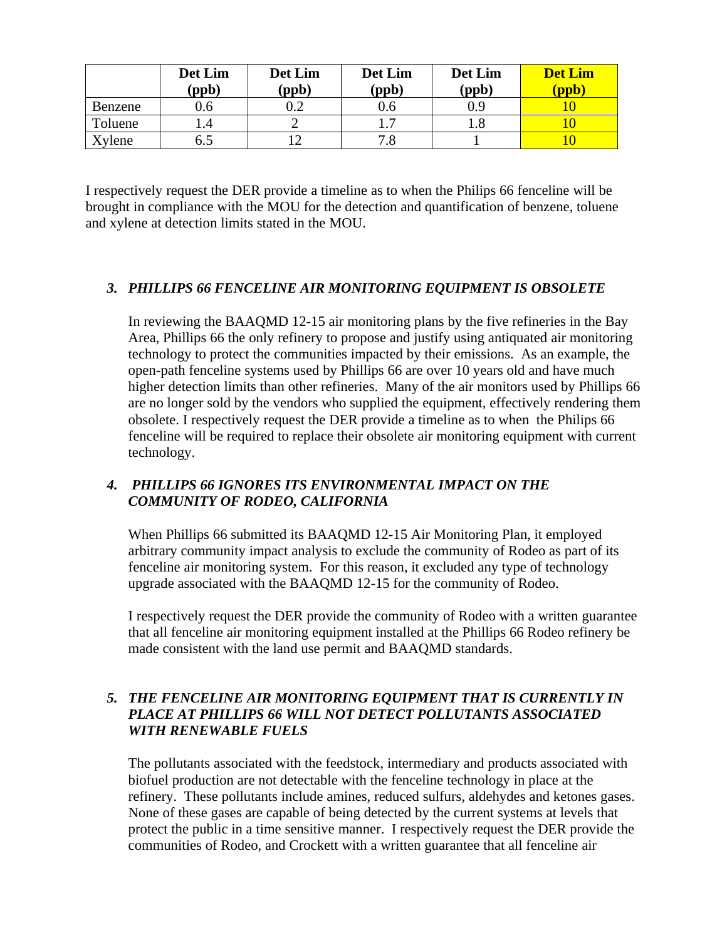|                | Det Lim<br>(ppb) | Det Lim<br>(ppb) | Det Lim<br>(ppb) | Det Lim<br>(ppb) | <b>Det Lim</b><br>(ppb) |
|----------------|------------------|------------------|------------------|------------------|-------------------------|
| <b>Benzene</b> | 0.6              |                  | $0.6\,$          |                  |                         |
| Toluene        |                  |                  |                  |                  |                         |
| Xylene         | 6.5              |                  | 7.8              |                  |                         |

I respectively request the DER provide a timeline as to when the Philips 66 fenceline will be brought in compliance with the MOU for the detection and quantification of benzene, toluene and xylene at detection limits stated in the MOU.

#### *3. PHILLIPS 66 FENCELINE AIR MONITORING EQUIPMENT IS OBSOLETE*

In reviewing the BAAQMD 12-15 air monitoring plans by the five refineries in the Bay Area, Phillips 66 the only refinery to propose and justify using antiquated air monitoring technology to protect the communities impacted by their emissions. As an example, the open-path fenceline systems used by Phillips 66 are over 10 years old and have much higher detection limits than other refineries. Many of the air monitors used by Phillips 66 are no longer sold by the vendors who supplied the equipment, effectively rendering them obsolete. I respectively request the DER provide a timeline as to when the Philips 66 fenceline will be required to replace their obsolete air monitoring equipment with current technology.

# *4. PHILLIPS 66 IGNORES ITS ENVIRONMENTAL IMPACT ON THE COMMUNITY OF RODEO, CALIFORNIA*

When Phillips 66 submitted its BAAQMD 12-15 Air Monitoring Plan, it employed arbitrary community impact analysis to exclude the community of Rodeo as part of its fenceline air monitoring system. For this reason, it excluded any type of technology upgrade associated with the BAAQMD 12-15 for the community of Rodeo.

I respectively request the DER provide the community of Rodeo with a written guarantee that all fenceline air monitoring equipment installed at the Phillips 66 Rodeo refinery be made consistent with the land use permit and BAAQMD standards.

# *5. THE FENCELINE AIR MONITORING EQUIPMENT THAT IS CURRENTLY IN PLACE AT PHILLIPS 66 WILL NOT DETECT POLLUTANTS ASSOCIATED WITH RENEWABLE FUELS*

The pollutants associated with the feedstock, intermediary and products associated with biofuel production are not detectable with the fenceline technology in place at the refinery. These pollutants include amines, reduced sulfurs, aldehydes and ketones gases. None of these gases are capable of being detected by the current systems at levels that protect the public in a time sensitive manner. I respectively request the DER provide the communities of Rodeo, and Crockett with a written guarantee that all fenceline air